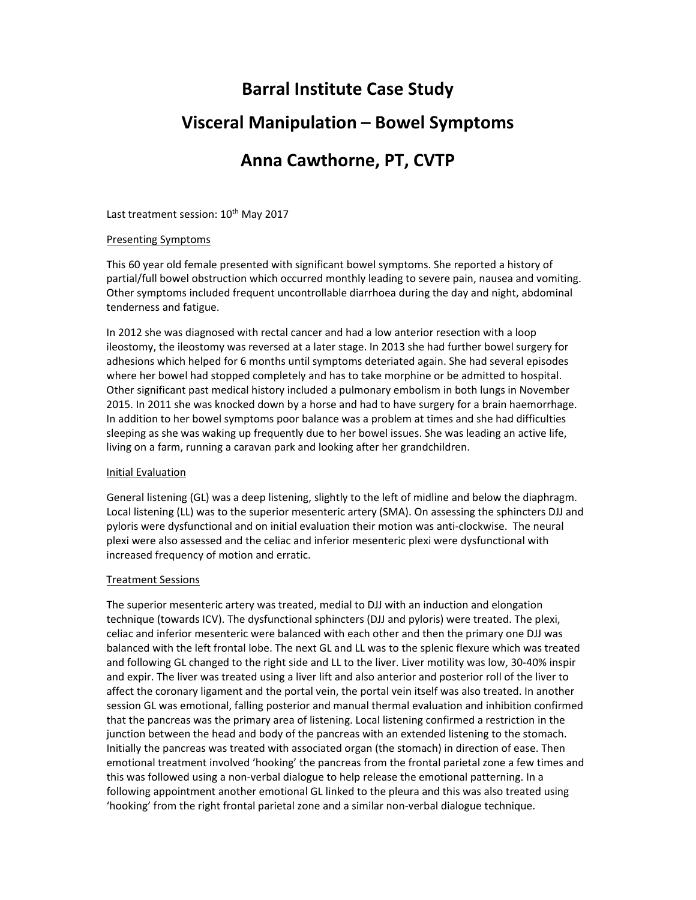# **Barral Institute Case Study**

## **Visceral Manipulation – Bowel Symptoms**

# **Anna Cawthorne, PT, CVTP**

Last treatment session: 10<sup>th</sup> May 2017

### Presenting Symptoms

This 60 year old female presented with significant bowel symptoms. She reported a history of partial/full bowel obstruction which occurred monthly leading to severe pain, nausea and vomiting. Other symptoms included frequent uncontrollable diarrhoea during the day and night, abdominal tenderness and fatigue.

In 2012 she was diagnosed with rectal cancer and had a low anterior resection with a loop ileostomy, the ileostomy was reversed at a later stage. In 2013 she had further bowel surgery for adhesions which helped for 6 months until symptoms deteriated again. She had several episodes where her bowel had stopped completely and has to take morphine or be admitted to hospital. Other significant past medical history included a pulmonary embolism in both lungs in November 2015. In 2011 she was knocked down by a horse and had to have surgery for a brain haemorrhage. In addition to her bowel symptoms poor balance was a problem at times and she had difficulties sleeping as she was waking up frequently due to her bowel issues. She was leading an active life, living on a farm, running a caravan park and looking after her grandchildren.

### Initial Evaluation

General listening (GL) was a deep listening, slightly to the left of midline and below the diaphragm. Local listening (LL) was to the superior mesenteric artery (SMA). On assessing the sphincters DJJ and pyloris were dysfunctional and on initial evaluation their motion was anti‐clockwise. The neural plexi were also assessed and the celiac and inferior mesenteric plexi were dysfunctional with increased frequency of motion and erratic.

### Treatment Sessions

The superior mesenteric artery was treated, medial to DJJ with an induction and elongation technique (towards ICV). The dysfunctional sphincters (DJJ and pyloris) were treated. The plexi, celiac and inferior mesenteric were balanced with each other and then the primary one DJJ was balanced with the left frontal lobe. The next GL and LL was to the splenic flexure which was treated and following GL changed to the right side and LL to the liver. Liver motility was low, 30‐40% inspir and expir. The liver was treated using a liver lift and also anterior and posterior roll of the liver to affect the coronary ligament and the portal vein, the portal vein itself was also treated. In another session GL was emotional, falling posterior and manual thermal evaluation and inhibition confirmed that the pancreas was the primary area of listening. Local listening confirmed a restriction in the junction between the head and body of the pancreas with an extended listening to the stomach. Initially the pancreas was treated with associated organ (the stomach) in direction of ease. Then emotional treatment involved 'hooking' the pancreas from the frontal parietal zone a few times and this was followed using a non‐verbal dialogue to help release the emotional patterning. In a following appointment another emotional GL linked to the pleura and this was also treated using 'hooking' from the right frontal parietal zone and a similar non‐verbal dialogue technique.